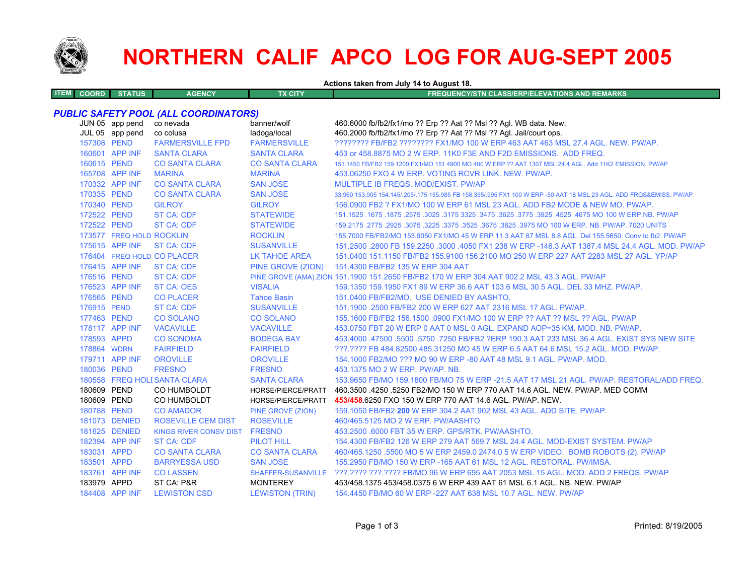

# **NORTHERN CALIF APCO LOG FOR AUG-SEPT 2005**

**Actions taken from July 14 to August 18.**

| TEM COORD | <b>STATUS</b> | <b>AGENCY</b> | TX CITY | FREQUENCY/STN CLASS/ERP/ELEVATIONS AND REMARKS |
|-----------|---------------|---------------|---------|------------------------------------------------|
|           |               |               |         |                                                |

## *PUBLIC SAFETY POOL (ALL COORDINATORS)*

|             | JUN 05 app pend<br>JUL 05 app pend | co nevada<br>co colusa        | banner/wolf<br>ladoga/local | 460.6000 fb/fb2/fx1/mo ?? Erp ?? Aat ?? Msl ?? Agl. WB data. New.<br>460.2000 fb/fb2/fx1/mo ?? Erp ?? Aat ?? Msl ?? Agl. Jail/court ops. |
|-------------|------------------------------------|-------------------------------|-----------------------------|------------------------------------------------------------------------------------------------------------------------------------------|
| 157308 PEND |                                    | <b>FARMERSVILLE FPD</b>       | <b>FARMERSVILLE</b>         | ???????? FB/FB2 ???????? FX1/MO 100 W ERP 463 AAT 463 MSL 27.4 AGL, NEW, PW/AP,                                                          |
|             | 160601 APP INF                     | <b>SANTA CLARA</b>            | <b>SANTA CLARA</b>          | 453 or 458,8875 MO 2 W ERP, 11K0 F3E AND F2D EMISSIONS. ADD FREQ.                                                                        |
| 160615 PEND |                                    | <b>CO SANTA CLARA</b>         | <b>CO SANTA CLARA</b>       | 151.1450 FB/FB2 159.1200 FX1/MO 151.4900 MO 400 W ERP ?? AAT 1307 MSL 24.4 AGL. Add 11K2 EMISSION, PW/AP                                 |
|             | 165708 APP INF                     | <b>MARINA</b>                 | <b>MARINA</b>               | 453.06250 FXO 4 W ERP. VOTING RCVR LINK. NEW. PW/AP.                                                                                     |
|             | 170332 APP INF                     | <b>CO SANTA CLARA</b>         | <b>SAN JOSE</b>             | MULTIPLE IB FREQS, MOD/EXIST, PW/AP                                                                                                      |
| 170335 PEND |                                    | <b>CO SANTA CLARA</b>         | <b>SAN JOSE</b>             | 33,960 153,905 154,145/.205/.175 155,985 FB 158,355/.995 FX1 100 W ERP -50 AAT 18 MSL 23 AGL, ADD FRQS&EMISS, PW/AP                      |
| 170340 PEND |                                    | <b>GILROY</b>                 | <b>GILROY</b>               | 156,0900 FB2 ? FX1/MO 100 W ERP 61 MSL 23 AGL, ADD FB2 MODE & NEW MO, PW/AP,                                                             |
| 172522 PEND |                                    | <b>ST CA: CDF</b>             | <b>STATEWIDE</b>            | 151.1525 .1675 .1875 .2575 .3025 .3175 3325 .3475 .3625 .3775 .3925 .4525 .4675 MO 100 W ERP.NB. PW/AP                                   |
| 172522 PEND |                                    | <b>ST CA: CDF</b>             | <b>STATEWIDE</b>            | 159.2175 .2775 .2925 .3075 .3225 .3675 .3675 .3625 .3975 MO 100 W ERP. NB. PW/AP. 7020 UNITS                                             |
|             | 173577 FREQ HOLD ROCKLIN           |                               | <b>ROCKLIN</b>              | 155,7000 FB/FB2/MO 153,9050 FX1/MO 45 W ERP 11.3 AAT 87 MSL 8.8 AGL, Del 155,5650, Conv to fb2, PW/AP                                    |
|             | 175615 APP INF                     | <b>ST CA: CDF</b>             | <b>SUSANVILLE</b>           | 151.2500 .2800 FB 159.2250 .3000 .4050 FX1 238 W ERP -146.3 AAT 1387.4 MSL 24.4 AGL, MOD, PW/AP                                          |
|             |                                    | 176404 FREQ HOLD CO PLACER    | <b>LK TAHOE AREA</b>        | 151.0400 151.1150 FB/FB2 155.9100 156.2100 MO 250 W ERP 227 AAT 2283 MSL 27 AGL. YP/AP                                                   |
|             | 176415 APP INF                     | <b>ST CA: CDF</b>             |                             | PINE GROVE (ZION) 151.4300 FB/FB2 135 W ERP 304 AAT                                                                                      |
| 176516 PEND |                                    | <b>ST CA: CDF</b>             |                             | PINE GROVE (AMA) ZION 151.1900 151.2650 FB/FB2 170 W ERP 304 AAT 902.2 MSL 43.3 AGL. PW/AP                                               |
|             | 176523 APP INF                     | <b>ST CA: OES</b>             | <b>VISALIA</b>              | 159.1350 159.1950 FX1 89 W ERP 36.6 AAT 103.6 MSL 30.5 AGL, DEL 33 MHZ, PW/AP,                                                           |
| 176565 PEND |                                    | <b>CO PLACER</b>              | <b>Tahoe Basin</b>          | 151.0400 FB/FB2/MO. USE DENIED BY AASHTO.                                                                                                |
| 176915 PEND |                                    | <b>ST CA: CDF</b>             | <b>SUSANVILLE</b>           | 151.1900 .2500 FB/FB2 200 W ERP 627 AAT 2316 MSL 17 AGL, PW/AP.                                                                          |
| 177463 PEND |                                    | <b>CO SOLANO</b>              | <b>CO SOLANO</b>            | 155.1600 FB/FB2 156.1500 .0900 FX1/MO 100 W ERP ?? AAT ?? MSL ?? AGL. PW/AP                                                              |
|             | 178117 APP INF                     | <b>VACAVILLE</b>              | <b>VACAVILLE</b>            | 453.0750 FBT 20 W ERP 0 AAT 0 MSL 0 AGL. EXPAND AOP=35 KM, MOD, NB, PW/AP,                                                               |
| 178593 APPD |                                    | <b>CO SONOMA</b>              | <b>BODEGA BAY</b>           | 453,4000 .47500 .5500 .5750 .7250 FB/FB2 ?ERP 190.3 AAT 233 MSL 36.4 AGL. EXIST SYS NEW SITE                                             |
| 178864 WDRN |                                    | <b>FAIRFIELD</b>              | <b>FAIRFIELD</b>            | 222.2222 FB 484.82500 485.31250 MO 45 W ERP 6.5 AAT 64.6 MSL 15.2 AGL, MOD, PW/AP,                                                       |
|             | 179711 APP INF                     | <b>OROVILLE</b>               | <b>OROVILLE</b>             | 154.1000 FB2/MO ??? MO 90 W ERP -80 AAT 48 MSL 9.1 AGL. PW/AP. MOD.                                                                      |
| 180036 PEND |                                    | <b>FRESNO</b>                 | <b>FRESNO</b>               | 453.1375 MO 2 W ERP. PW/AP. NB.                                                                                                          |
|             |                                    | 180558 FREQ HOLI SANTA CLARA  | <b>SANTA CLARA</b>          | 153.9650 FB/MO 159.1800 FB/MO 75 W ERP -21.5 AAT 17 MSL 21 AGL, PW/AP, RESTORAL/ADD FREQ.                                                |
| 180609 PEND |                                    | CO HUMBOLDT                   | HORSE/PIERCE/PRATT          | 460.3500 .4250 .5250 FB2/MO 150 W ERP 770 AAT 14.6 AGL, NEW, PW/AP, MED COMM                                                             |
| 180609 PEND |                                    | CO HUMBOLDT                   | HORSE/PIERCE/PRATT          | 453/458.6250 FXO 150 W ERP 770 AAT 14.6 AGL. PW/AP. NEW.                                                                                 |
| 180788 PEND |                                    | <b>CO AMADOR</b>              | PINE GROVE (ZION)           | 159.1050 FB/FB2 200 W ERP 304.2 AAT 902 MSL 43 AGL. ADD SITE. PW/AP.                                                                     |
|             | 181073 DENIED                      | <b>ROSEVILLE CEM DIST</b>     | <b>ROSEVILLE</b>            | 460/465.5125 MO 2 W ERP. PW/AASHTO                                                                                                       |
|             | 181625 DENIED                      | KINGS RIVER CONSV DIST FRESNO |                             | 453.2500 .6000 FBT 35 W ERP. GPS/RTK. PW/AASHTO.                                                                                         |
|             | 182394 APP INF                     | <b>ST CA: CDF</b>             | <b>PILOT HILL</b>           | 154,4300 FB/FB2 126 W ERP 279 AAT 569.7 MSL 24.4 AGL, MOD-EXIST SYSTEM, PW/AP                                                            |
| 183031 APPD |                                    | <b>CO SANTA CLARA</b>         | <b>CO SANTA CLARA</b>       | 460/465.1250 .5500 MO 5 W ERP 2459.0 2474.0 5 W ERP VIDEO. BOMB ROBOTS (2). PW/AP                                                        |
| 183501 APPD |                                    | <b>BARRYESSA USD</b>          | <b>SAN JOSE</b>             | 155,2950 FB/MO 150 W ERP -165 AAT 61 MSL 12 AGL, RESTORAL, PW/IMSA.                                                                      |
|             | 183761 APP INF                     | <b>CO LASSEN</b>              |                             | SHAFFER-SUSANVILLE ???.???? ???.???? FB/MO 96 W ERP 695 AAT 2053 MSL 15 AGL, MOD, ADD 2 FREQS, PW/AP                                     |
| 183979 APPD |                                    | ST CA: P&R                    | <b>MONTEREY</b>             | 453/458.1375 453/458.0375 6 W ERP 439 AAT 61 MSL 6.1 AGL, NB, NEW, PW/AP                                                                 |
|             | 184408 APP INF                     | <b>LEWISTON CSD</b>           | <b>LEWISTON (TRIN)</b>      | 154,4450 FB/MO 60 W ERP - 227 AAT 638 MSL 10.7 AGL, NEW, PW/AP                                                                           |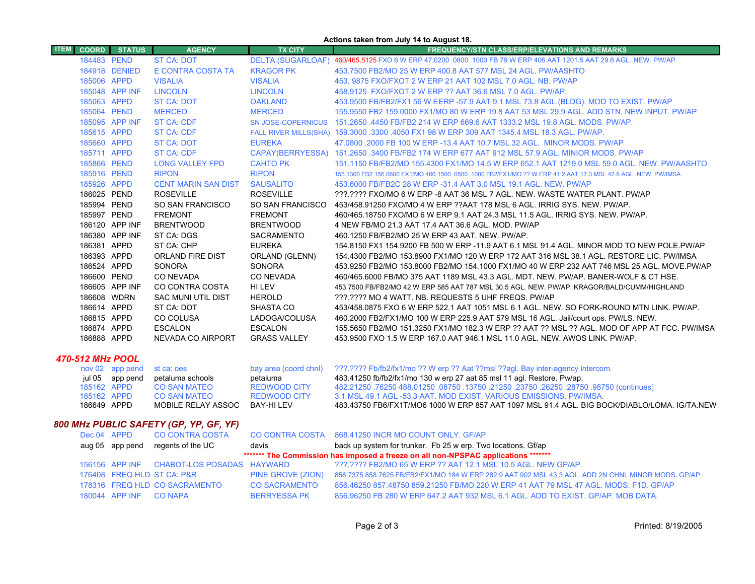|                         |              |                 |                            |                          | Actions taken from July 14 to August 18.                                                                       |
|-------------------------|--------------|-----------------|----------------------------|--------------------------|----------------------------------------------------------------------------------------------------------------|
| <b>ITEM</b>             | <b>COORD</b> | <b>STATUS</b>   | <b>AGENCY</b>              | <b>TX CITY</b>           | <b>FREQUENCY/STN CLASS/ERP/ELEVATIONS AND REMARKS</b>                                                          |
|                         | 184483 PEND  |                 | <b>ST CA: DOT</b>          | <b>DELTA (SUGARLOAF)</b> | 460/465.5125 FXO 6 W ERP 47.0200 .0800 .1000 FB 79 W ERP 406 AAT 1201.5 AAT 29.6 AGL, NEW, PW/AP               |
|                         |              | 184918 DENIED   | E CONTRA COSTA TA          | <b>KRAGOR PK</b>         | 453.7500 FB2/MO 25 W ERP 400.8 AAT 577 MSL 24 AGL. PW/AASHTO                                                   |
|                         | 185006 APPD  |                 | <b>VISALIA</b>             | <b>VISALIA</b>           | 453, 9875 FXO/FXOT 2 W ERP 21 AAT 102 MSL 7.0 AGL, NB, PW/AP                                                   |
|                         |              | 185048 APP INF  | <b>LINCOLN</b>             | <b>LINCOLN</b>           | 458.9125 FXO/FXOT 2 W ERP ?? AAT 36.6 MSL 7.0 AGL. PW/AP.                                                      |
|                         | 185063 APPD  |                 | <b>ST CA: DOT</b>          | <b>OAKLAND</b>           | 453.9500 FB/FB2/FX1 56 W EERP -57.9 AAT 9.1 MSL 73.8 AGL (BLDG). MOD TO EXIST. PW/AP                           |
|                         | 185064 PEND  |                 | <b>MERCED</b>              | <b>MERCED</b>            | 155.9550 FB2 159.0000 FX1/MO 80 W ERP 19.8 AAT 53 MSL 29.9 AGL. ADD STN, NEW INPUT. PW/AP                      |
|                         |              | 185095 APP INF  | <b>ST CA: CDF</b>          |                          | SN JOSE-COPERNICUS 151.2650 .4450 FB/FB2 214 W ERP 669.6 AAT 1333.2 MSL 19.8 AGL, MODS, PW/AP,                 |
|                         | 185615 APPD  |                 | <b>ST CA: CDF</b>          |                          | FALL RIVER MILLS(SHA) 159.3000 .3300 .4050 FX1 98 W ERP 309 AAT 1345.4 MSL 18.3 AGL. PW/AP.                    |
|                         | 185660 APPD  |                 | <b>ST CA: DOT</b>          | <b>EUREKA</b>            | 47,0800,2000 FB 100 W ERP -13.4 AAT 10.7 MSL 32 AGL. MINOR MODS, PW/AP                                         |
|                         | 185711 APPD  |                 | ST CA: CDF                 |                          | CAPAY(BERRYESSA) 151.2650 .3400 FB/FB2 174 W ERP 677 AAT 912 MSL 57.9 AGL. MINIOR MODS. PW/AP                  |
|                         | 185866 PEND  |                 | <b>LONG VALLEY FPD</b>     | <b>CAHTO PK</b>          | 151.1150 FB/FB2/MO 155.4300 FX1/MO 14.5 W ERP 652.1 AAT 1219.0 MSL 59.0 AGL. NEW, PW/AASHTO                    |
|                         | 185916 PEND  |                 | <b>RIPON</b>               | <b>RIPON</b>             | 155,1300 FB2 156,0600 FX1/MO 460,1500 ,0500 ,1000 FB2/FX1/MO ?? W ERP 41.2 AAT 17.3 MSL 42.6 AGL, NEW, PW/IMSA |
|                         | 185926 APPD  |                 | <b>CENT MARIN SAN DIST</b> | <b>SAUSALITO</b>         | 453,6000 FB/FB2C 28 W ERP -31.4 AAT 3.0 MSL 19.1 AGL, NEW, PW/AP                                               |
|                         | 186025 PEND  |                 | <b>ROSEVILLE</b>           | <b>ROSEVILLE</b>         | ???.???? FXO/MO 6 W ERP -8 AAT 36 MSL 7 AGL. NEW. WASTE WATER PLANT. PW/AP                                     |
|                         | 185994 PEND  |                 | SO SAN FRANCISCO           | SO SAN FRANCISCO         | 453/458.91250 FXO/MO 4 W ERP ?? AAT 178 MSL 6 AGL. IRRIG SYS. NEW. PW/AP.                                      |
|                         | 185997 PEND  |                 | <b>FREMONT</b>             | <b>FREMONT</b>           | 460/465.18750 FXO/MO 6 W ERP 9.1 AAT 24.3 MSL 11.5 AGL. IRRIG SYS. NEW. PW/AP.                                 |
|                         |              | 186120 APP INF  | <b>BRENTWOOD</b>           | <b>BRENTWOOD</b>         | 4 NEW FB/MO 21.3 AAT 17.4 AAT 36.6 AGL. MOD. PW/AP                                                             |
|                         |              | 186380 APP INF  | ST CA: DGS                 | SACRAMENTO               | 460.1250 FB/FB2/MO 25 W ERP 43 AAT, NEW, PW/AP.                                                                |
|                         | 186381 APPD  |                 | ST CA: CHP                 | <b>EUREKA</b>            | 154.8150 FX1 154.9200 FB 500 W ERP -11.9 AAT 6.1 MSL 91.4 AGL. MINOR MOD TO NEW POLE PW/AP                     |
|                         | 186393 APPD  |                 | ORLAND FIRE DIST           | ORLAND (GLENN)           | 154.4300 FB2/MO 153.8900 FX1/MO 120 W ERP 172 AAT 316 MSL 38.1 AGL, RESTORE LIC, PW/IMSA                       |
|                         | 186524 APPD  |                 | <b>SONORA</b>              | <b>SONORA</b>            | 453.9250 FB2/MO 153.8000 FB2/MO 154.1000 FX1/MO 40 W ERP 232 AAT 746 MSL 25 AGL. MOVE.PW/AP                    |
|                         | 186600 PEND  |                 | CO NEVADA                  | <b>CO NEVADA</b>         | 460/465.6000 FB/MO 375 AAT 1189 MSL 43.3 AGL. MDT. NEW. PW/AP. BANER-WOLF & CT HSE.                            |
|                         |              | 186605 APP INF  | CO CONTRA COSTA            | HI LEV                   | 453.7500 FB/FB2/MO 42 W ERP 585 AAT 787 MSL 30.5 AGL. NEW. PW/AP. KRAGOR/BALD/CUMM/HIGHLAND                    |
|                         | 186608 WDRN  |                 | <b>SAC MUNI UTIL DIST</b>  | <b>HEROLD</b>            | ???.???? MO 4 WATT. NB. REQUESTS 5 UHF FREQS. PW/AP                                                            |
|                         | 186614 APPD  |                 | ST CA: DOT                 | SHASTA CO                | 453/458.0875 FXO 6 W ERP 522.1 AAT 1051 MSL 6.1 AGL. NEW. SO FORK-ROUND MTN LINK. PW/AP.                       |
|                         | 186815 APPD  |                 | CO COLUSA                  | LADOGA/COLUSA            | 460.2000 FB2/FX1/MO 100 W ERP 225.9 AAT 579 MSL 16 AGL. Jail/court ops. PW/LS. NEW.                            |
|                         | 186874 APPD  |                 | <b>ESCALON</b>             | <b>ESCALON</b>           | 155.5650 FB2/MO 151.3250 FX1/MO 182.3 W ERP ?? AAT ?? MSL ?? AGL. MOD OF APP AT FCC. PW/IMSA                   |
|                         | 186888 APPD  |                 | NEVADA CO AIRPORT          | <b>GRASS VALLEY</b>      | 453,9500 FXO 1.5 W ERP 167.0 AAT 946.1 MSL 11.0 AGL. NEW. AWOS LINK, PW/AP.                                    |
| <b>470-512 MHz POOL</b> |              |                 |                            |                          |                                                                                                                |
|                         |              | nov 02 app pend | st ca: oes                 | bay area (coord chnl)    | ???.???? Fb/fb2/fx1/mo ?? W erp ?? Aat ??msl ??agl. Bay inter-agency intercom.                                 |
|                         |              | jul 05 app pend | petaluma schools           | petaluma                 | 483.41250 fb/fb2/fx1/mo 130 w erp 27 aat 85 msl 11 agl. Restore. Pw/ap.                                        |
|                         | 185162 APPD  |                 | <b>CO SAN MATEO</b>        | <b>REDWOOD CITY</b>      | (continues) 08750, 08750, 08750, 08750, 021250, 13750, 08750, 08750 76250, 08750, 08750                        |
|                         | 185162 APPD  |                 | <b>CO SAN MATEO</b>        | <b>REDWOOD CITY</b>      | 3.1 MSL 49.1 AGL -53.3 AAT, MOD EXIST, VARIOUS EMISSIONS, PW/IMSA.                                             |
|                         | 186649 APPD  |                 | MOBILE RELAY ASSOC         | <b>BAY-HILEV</b>         | 483.43750 FB6/FX1T/MO6 1000 W ERP 857 AAT 1097 MSL 91.4 AGL. BIG BOCK/DIABLO/LOMA. IG/TA.NEW                   |

# *800 MHz PUBLIC SAFETY (GP, YP, GF, YF)*

|                                                                                     |                        | Dec 04 APPD CO CONTRA COSTA               |                      | CO CONTRA COSTA 868.41250 INCR MO COUNT ONLY. GF/AP                                                 |  |  |
|-------------------------------------------------------------------------------------|------------------------|-------------------------------------------|----------------------|-----------------------------------------------------------------------------------------------------|--|--|
|                                                                                     |                        | aug 05 app pend regents of the UC         | davis                | back up system for trunker. Fb 25 w erp. Two locations. Gf/ap                                       |  |  |
| ******* The Commission has imposed a freeze on all non-NPSPAC applications ******** |                        |                                           |                      |                                                                                                     |  |  |
|                                                                                     |                        | 156156 APP INF CHABOT-LOS POSADAS HAYWARD |                      | ???.???? FB2/MO 65 W ERP ?? AAT 12.1 MSL 10.5 AGL. NEW GP/AP.                                       |  |  |
|                                                                                     |                        | 176408 FREQ HLD ST CA: P&R                | PINE GROVE (ZION)    | 856.7375 858.7625 FB/FB2/FX1/MO 184 W ERP 282.9 AAT 902 MSL 43.3 AGL. ADD 2N CHNL MINOR MODS. GP/AP |  |  |
|                                                                                     |                        | 178316 FREQ HLD CO SACRAMENTO             | <b>CO SACRAMENTO</b> | 856.46250 857.48750 859.21250 FB/MO 220 W ERP 41 AAT 79 MSL 47 AGL. MODS, F1D, GP/AP                |  |  |
|                                                                                     | 180044 APP INF CO NAPA |                                           | <b>BERRYESSA PK</b>  | 856,96250 FB 280 W ERP 647.2 AAT 932 MSL 6.1 AGL, ADD TO EXIST, GP/AP, MOB DATA,                    |  |  |